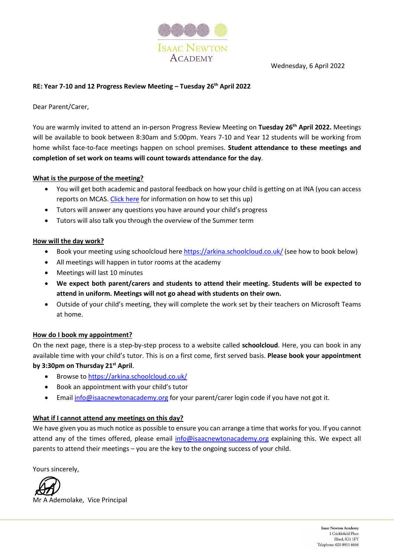

Wednesday, 6 April 2022

# **RE: Year 7-10 and 12 Progress Review Meeting – Tuesday 26th April 2022**

Dear Parent/Carer,

You are warmly invited to attend an in-person Progress Review Meeting on **Tuesday 26th April 2022.** Meetings will be available to book between 8:30am and 5:00pm. Years 7-10 and Year 12 students will be working from home whilst face-to-face meetings happen on school premises. **Student attendance to these meetings and completion of set work on teams will count towards attendance for the day**.

## **What is the purpose of the meeting?**

- You will get both academic and pastoral feedback on how your child is getting on at INA (you can access reports on MCAS. [Click here](https://isaacnewtonacademy.org/page-strips/mcas) for information on how to set this up)
- Tutors will answer any questions you have around your child's progress
- Tutors will also talk you through the overview of the Summer term

#### **How will the day work?**

- Book your meeting using schoolcloud here <https://arkina.schoolcloud.co.uk/> (see how to book below)
- All meetings will happen in tutor rooms at the academy
- Meetings will last 10 minutes
- **We expect both parent/carers and students to attend their meeting. Students will be expected to attend in uniform. Meetings will not go ahead with students on their own.**
- Outside of your child's meeting, they will complete the work set by their teachers on Microsoft Teams at home.

#### **How do I book my appointment?**

On the next page, there is a step-by-step process to a website called **schoolcloud**. Here, you can book in any available time with your child's tutor. This is on a first come, first served basis. **Please book your appointment by 3:30pm on Thursday 21st April**.

- Browse to<https://arkina.schoolcloud.co.uk/>
- Book an appointment with your child's tutor
- Emai[l info@isaacnewtonacademy.org](mailto:info@isaacnewtonacademy.org) for your parent/carer login code if you have not got it.

# **What if I cannot attend any meetings on this day?**

We have given you as much notice as possible to ensure you can arrange a time that works for you. If you cannot attend any of the times offered, please email [info@isaacnewtonacademy.org](mailto:info@isaacnewtonacademy.org) explaining this. We expect all parents to attend their meetings – you are the key to the ongoing success of your child.

Yours sincerely,

Mr A Ademolake, Vice Principal